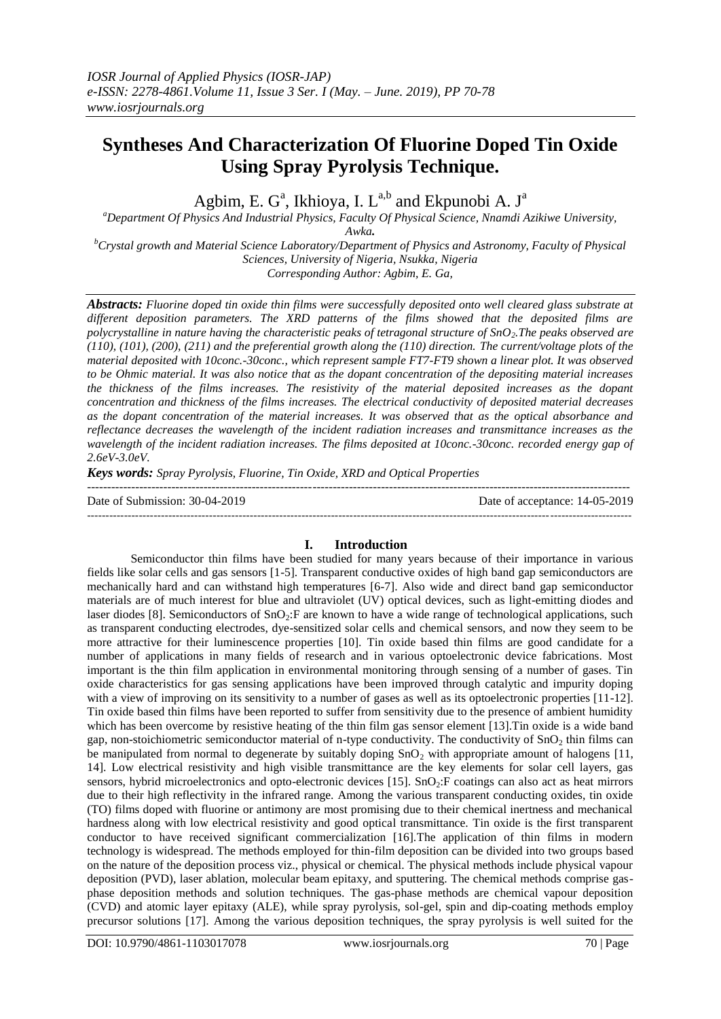# **Syntheses And Characterization Of Fluorine Doped Tin Oxide Using Spray Pyrolysis Technique.**

Agbim, E.  $G^a$ , Ikhioya, I.  $L^{a,b}$  and Ekpunobi A. J<sup>a</sup>

*<sup>a</sup>Department Of Physics And Industrial Physics, Faculty Of Physical Science, Nnamdi Azikiwe University,* 

*Awka.*

*<sup>b</sup>Crystal growth and Material Science Laboratory/Department of Physics and Astronomy, Faculty of Physical Sciences, University of Nigeria, Nsukka, Nigeria Corresponding Author: Agbim, E. Ga,* 

*Abstracts: Fluorine doped tin oxide thin films were successfully deposited onto well cleared glass substrate at different deposition parameters. The XRD patterns of the films showed that the deposited films are polycrystalline in nature having the characteristic peaks of tetragonal structure of SnO2.The peaks observed are (110), (101), (200), (211) and the preferential growth along the (110) direction. The current/voltage plots of the material deposited with 10conc.-30conc., which represent sample FT7-FT9 shown a linear plot. It was observed to be Ohmic material. It was also notice that as the dopant concentration of the depositing material increases the thickness of the films increases. The resistivity of the material deposited increases as the dopant concentration and thickness of the films increases. The electrical conductivity of deposited material decreases as the dopant concentration of the material increases. It was observed that as the optical absorbance and reflectance decreases the wavelength of the incident radiation increases and transmittance increases as the wavelength of the incident radiation increases. The films deposited at 10conc.-30conc. recorded energy gap of 2.6eV-3.0eV.*

*Keys words: Spray Pyrolysis, Fluorine, Tin Oxide, XRD and Optical Properties* ---------------------------------------------------------------------------------------------------------------------------------------

Date of Submission: 30-04-2019 Date of acceptance: 14-05-2019 ---------------------------------------------------------------------------------------------------------------------------------------------------

## **I. Introduction**

Semiconductor thin films have been studied for many years because of their importance in various fields like solar cells and gas sensors [1-5]. Transparent conductive oxides of high band gap semiconductors are mechanically hard and can withstand high temperatures [6-7]. Also wide and direct band gap semiconductor materials are of much interest for blue and ultraviolet (UV) optical devices, such as light-emitting diodes and laser diodes [8]. Semiconductors of  $SnO<sub>2</sub>:$  F are known to have a wide range of technological applications, such as transparent conducting electrodes, dye-sensitized solar cells and chemical sensors, and now they seem to be more attractive for their luminescence properties [10]. Tin oxide based thin films are good candidate for a number of applications in many fields of research and in various optoelectronic device fabrications. Most important is the thin film application in environmental monitoring through sensing of a number of gases. Tin oxide characteristics for gas sensing applications have been improved through catalytic and impurity doping with a view of improving on its sensitivity to a number of gases as well as its optoelectronic properties [11-12]. Tin oxide based thin films have been reported to suffer from sensitivity due to the presence of ambient humidity which has been overcome by resistive heating of the thin film gas sensor element [13].Tin oxide is a wide band gap, non-stoichiometric semiconductor material of n-type conductivity. The conductivity of  $SnO<sub>2</sub>$  thin films can be manipulated from normal to degenerate by suitably doping  $SnO<sub>2</sub>$  with appropriate amount of halogens [11, 14]. Low electrical resistivity and high visible transmittance are the key elements for solar cell layers, gas sensors, hybrid microelectronics and opto-electronic devices [15]. SnO<sub>2</sub>:F coatings can also act as heat mirrors due to their high reflectivity in the infrared range. Among the various transparent conducting oxides, tin oxide (TO) films doped with fluorine or antimony are most promising due to their chemical inertness and mechanical hardness along with low electrical resistivity and good optical transmittance. Tin oxide is the first transparent conductor to have received significant commercialization [16].The application of thin films in modern technology is widespread. The methods employed for thin-film deposition can be divided into two groups based on the nature of the deposition process viz., physical or chemical. The physical methods include physical vapour deposition (PVD), laser ablation, molecular beam epitaxy, and sputtering. The chemical methods comprise gasphase deposition methods and solution techniques. The gas-phase methods are chemical vapour deposition (CVD) and atomic layer epitaxy (ALE), while spray pyrolysis, sol-gel, spin and dip-coating methods employ precursor solutions [17]. Among the various deposition techniques, the spray pyrolysis is well suited for the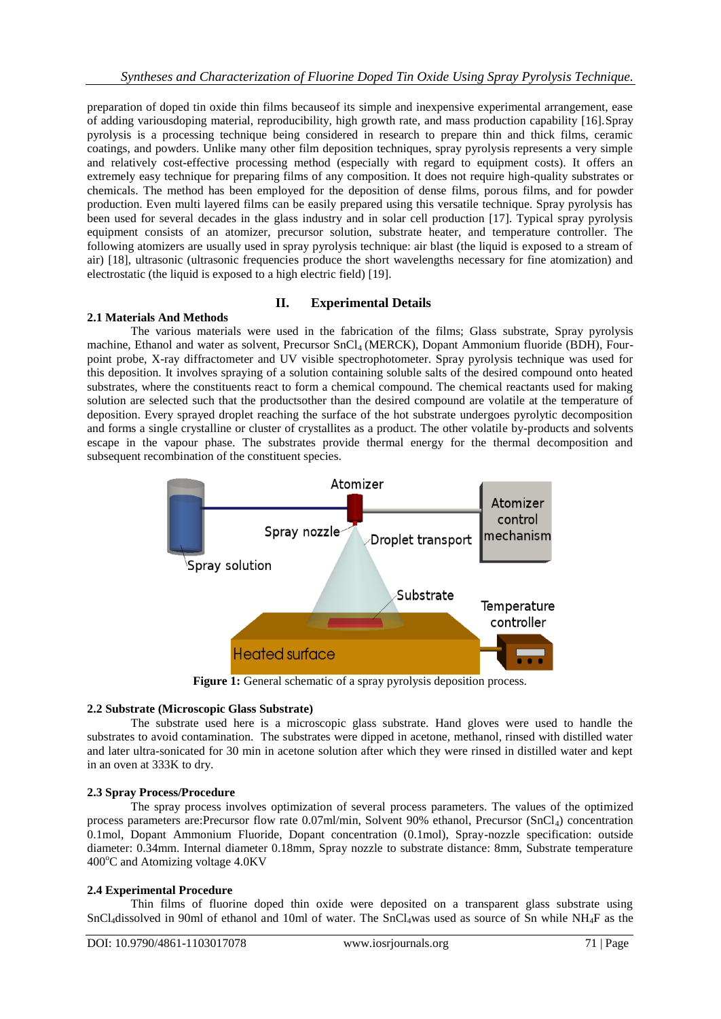preparation of doped tin oxide thin films becauseof its simple and inexpensive experimental arrangement, ease of adding variousdoping material, reproducibility, high growth rate, and mass production capability [16].Spray pyrolysis is a processing technique being considered in research to prepare thin and thick films, ceramic coatings, and powders. Unlike many other film deposition techniques, spray pyrolysis represents a very simple and relatively cost-effective processing method (especially with regard to equipment costs). It offers an extremely easy technique for preparing films of any composition. It does not require high-quality substrates or chemicals. The method has been employed for the deposition of dense films, porous films, and for powder production. Even multi layered films can be easily prepared using this versatile technique. Spray pyrolysis has been used for several decades in the glass industry and in solar cell production [17]. Typical spray pyrolysis equipment consists of an atomizer, precursor solution, substrate heater, and temperature controller. The following atomizers are usually used in spray pyrolysis technique: air blast (the liquid is exposed to a stream of air) [18], ultrasonic (ultrasonic frequencies produce the short wavelengths necessary for fine atomization) and electrostatic (the liquid is exposed to a high electric field) [19].

# **II. Experimental Details**

## **2.1 Materials And Methods**

The various materials were used in the fabrication of the films; Glass substrate, Spray pyrolysis machine, Ethanol and water as solvent, Precursor SnCl<sub>4</sub> (MERCK), Dopant Ammonium fluoride (BDH), Fourpoint probe, X-ray diffractometer and UV visible spectrophotometer. Spray pyrolysis technique was used for this deposition. It involves spraying of a solution containing soluble salts of the desired compound onto heated substrates, where the constituents react to form a chemical compound. The chemical reactants used for making solution are selected such that the productsother than the desired compound are volatile at the temperature of deposition. Every sprayed droplet reaching the surface of the hot substrate undergoes pyrolytic decomposition and forms a single crystalline or cluster of crystallites as a product. The other volatile by-products and solvents escape in the vapour phase. The substrates provide thermal energy for the thermal decomposition and subsequent recombination of the constituent species.



Figure 1: General schematic of a spray pyrolysis deposition process.

## **2.2 Substrate (Microscopic Glass Substrate)**

The substrate used here is a microscopic glass substrate. Hand gloves were used to handle the substrates to avoid contamination. The substrates were dipped in acetone, methanol, rinsed with distilled water and later ultra-sonicated for 30 min in acetone solution after which they were rinsed in distilled water and kept in an oven at 333K to dry.

## **2.3 Spray Process/Procedure**

The spray process involves optimization of several process parameters. The values of the optimized process parameters are:Precursor flow rate 0.07ml/min, Solvent 90% ethanol, Precursor (SnCl4) concentration 0.1mol, Dopant Ammonium Fluoride, Dopant concentration (0.1mol), Spray-nozzle specification: outside diameter: 0.34mm. Internal diameter 0.18mm, Spray nozzle to substrate distance: 8mm, Substrate temperature  $400^{\circ}$ C and Atomizing voltage  $4.0$ KV

# **2.4 Experimental Procedure**

Thin films of fluorine doped thin oxide were deposited on a transparent glass substrate using SnCl<sub>4</sub>dissolved in 90ml of ethanol and 10ml of water. The SnCl<sub>4</sub>was used as source of Sn while NH<sub>4</sub>F as the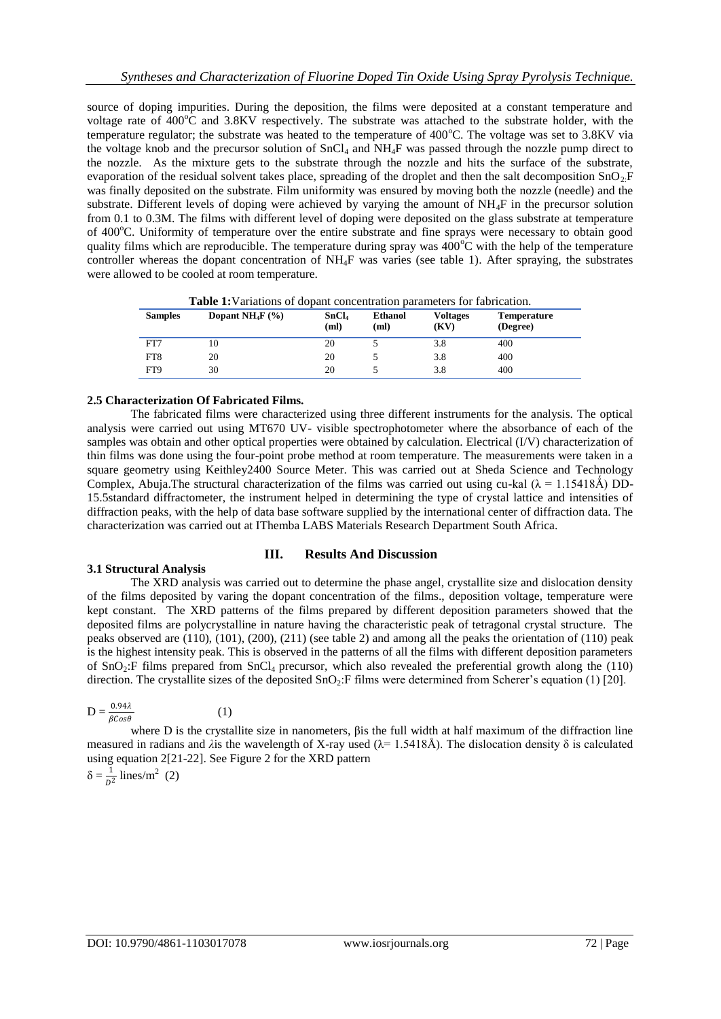source of doping impurities. During the deposition, the films were deposited at a constant temperature and voltage rate of 400<sup>o</sup>C and 3.8KV respectively. The substrate was attached to the substrate holder, with the temperature regulator; the substrate was heated to the temperature of 400°C. The voltage was set to 3.8KV via the voltage knob and the precursor solution of SnCl<sup>4</sup> and NH4F was passed through the nozzle pump direct to the nozzle. As the mixture gets to the substrate through the nozzle and hits the surface of the substrate, evaporation of the residual solvent takes place, spreading of the droplet and then the salt decomposition  $SnO_2 \cdot F$ was finally deposited on the substrate. Film uniformity was ensured by moving both the nozzle (needle) and the substrate. Different levels of doping were achieved by varying the amount of NH4F in the precursor solution from 0.1 to 0.3M. The films with different level of doping were deposited on the glass substrate at temperature of 400°C. Uniformity of temperature over the entire substrate and fine sprays were necessary to obtain good quality films which are reproducible. The temperature during spray was  $400^{\circ}$ C with the help of the temperature controller whereas the dopant concentration of NH4F was varies (see table 1). After spraying, the substrates were allowed to be cooled at room temperature.

| <b>Samples</b>  | Dopant NH <sub>4</sub> F $(% )$ | SnCl <sub>4</sub><br>(ml) | <b>Ethanol</b><br>(ml) | <b>Voltages</b><br>(KV) | <b>Temperature</b><br>(Degree) |
|-----------------|---------------------------------|---------------------------|------------------------|-------------------------|--------------------------------|
| FT7             | 10                              | 20                        |                        | 3.8                     | 400                            |
| FT <sub>8</sub> | 20                              | 20                        |                        | 3.8                     | 400                            |
| FT9             | 30                              | 20                        |                        | 3.8                     | 400                            |

**Table 1:**Variations of dopant concentration parameters for fabrication.

#### **2.5 Characterization Of Fabricated Films.**

The fabricated films were characterized using three different instruments for the analysis. The optical analysis were carried out using MT670 UV- visible spectrophotometer where the absorbance of each of the samples was obtain and other optical properties were obtained by calculation. Electrical (I/V) characterization of thin films was done using the four-point probe method at room temperature. The measurements were taken in a square geometry using Keithley2400 Source Meter. This was carried out at Sheda Science and Technology Complex, Abuja.The structural characterization of the films was carried out using cu-kal ( $\lambda = 1.15418\text{\AA}$ ) DD-15.5standard diffractometer, the instrument helped in determining the type of crystal lattice and intensities of diffraction peaks, with the help of data base software supplied by the international center of diffraction data. The characterization was carried out at IThemba LABS Materials Research Department South Africa.

## **3.1 Structural Analysis**

## **III. Results And Discussion**

The XRD analysis was carried out to determine the phase angel, crystallite size and dislocation density of the films deposited by varing the dopant concentration of the films., deposition voltage, temperature were kept constant. The XRD patterns of the films prepared by different deposition parameters showed that the deposited films are polycrystalline in nature having the characteristic peak of tetragonal crystal structure. The peaks observed are (110), (101), (200), (211) (see table 2) and among all the peaks the orientation of (110) peak is the highest intensity peak. This is observed in the patterns of all the films with different deposition parameters of  $SnO<sub>2</sub>:$ F films prepared from  $SnCl<sub>4</sub>$  precursor, which also revealed the preferential growth along the (110) direction. The crystallite sizes of the deposited  $SnO<sub>2</sub>:F$  films were determined from Scherer's equation (1) [20].

$$
D = \frac{0.94\lambda}{\beta \cos \theta} \tag{1}
$$

where D is the crystallite size in nanometers, βis the full width at half maximum of the diffraction line measured in radians and *λ*is the wavelength of X-ray used ( $\lambda$ = 1.5418Å). The dislocation density  $\delta$  is calculated using equation 2[21-22]. See Figure 2 for the XRD pattern  $\delta = \frac{1}{\delta}$  $\frac{1}{D^2}$  lines/m<sup>2</sup> (2)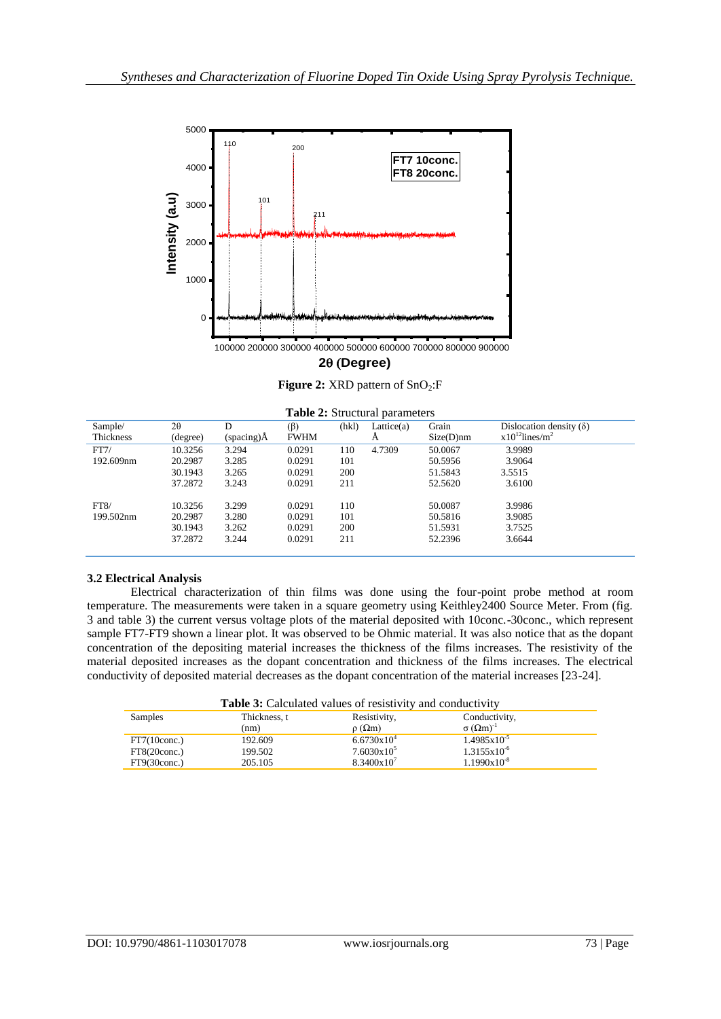

# **2**q (**Degree)**

**Figure 2:** XRD pattern of SnO<sub>2</sub>:F

| <b>Table 2:</b> Structural parameters |           |                    |             |      |            |              |                                 |
|---------------------------------------|-----------|--------------------|-------------|------|------------|--------------|---------------------------------|
| Sample/                               | $2\theta$ | D                  | $(\beta)$   | (hk) | Lattice(a) | Grain        | Dislocation density $(\delta)$  |
| Thickness                             | (degree)  | $(spaceing)$ $\AA$ | <b>FWHM</b> |      | А          | $Size(D)$ nm | $x10^{12}$ lines/m <sup>2</sup> |
| FT7/                                  | 10.3256   | 3.294              | 0.0291      | 110  | 4.7309     | 50.0067      | 3.9989                          |
| 192.609nm                             | 20.2987   | 3.285              | 0.0291      | 101  |            | 50.5956      | 3.9064                          |
|                                       | 30.1943   | 3.265              | 0.0291      | 200  |            | 51.5843      | 3.5515                          |
|                                       | 37.2872   | 3.243              | 0.0291      | 211  |            | 52.5620      | 3.6100                          |
| FT8/                                  | 10.3256   | 3.299              | 0.0291      | 110  |            | 50.0087      | 3.9986                          |
| 199.502nm                             | 20.2987   | 3.280              | 0.0291      | 101  |            | 50.5816      | 3.9085                          |
|                                       | 30.1943   | 3.262              | 0.0291      | 200  |            | 51.5931      | 3.7525                          |
|                                       | 37.2872   | 3.244              | 0.0291      | 211  |            | 52.2396      | 3.6644                          |

## **3.2 Electrical Analysis**

Electrical characterization of thin films was done using the four-point probe method at room temperature. The measurements were taken in a square geometry using Keithley2400 Source Meter. From (fig. 3 and table 3) the current versus voltage plots of the material deposited with 10conc.-30conc., which represent sample FT7-FT9 shown a linear plot. It was observed to be Ohmic material. It was also notice that as the dopant concentration of the depositing material increases the thickness of the films increases. The resistivity of the material deposited increases as the dopant concentration and thickness of the films increases. The electrical conductivity of deposited material decreases as the dopant concentration of the material increases [23-24].

| <b>Table 3:</b> Calculated values of resistivity and conductivity |              |                  |                         |  |  |  |  |  |
|-------------------------------------------------------------------|--------------|------------------|-------------------------|--|--|--|--|--|
| Samples                                                           | Thickness, t | Conductivity,    |                         |  |  |  |  |  |
|                                                                   | (nm)         | $\rho(\Omega m)$ | $\sigma(\Omega m)^{-1}$ |  |  |  |  |  |
| $FT7(10 \text{conc.})$                                            | 192.609      | $6.6730x10^{4}$  | $1.4985 \times 10^{-5}$ |  |  |  |  |  |
| FT8(20cone.)                                                      | 199.502      | $7.6030x10^5$    | $1.3155 \times 10^{-6}$ |  |  |  |  |  |
| $FT9(30$ conc.)                                                   | 205.105      | $8.3400x10^7$    | $1.1990 \times 10^{-8}$ |  |  |  |  |  |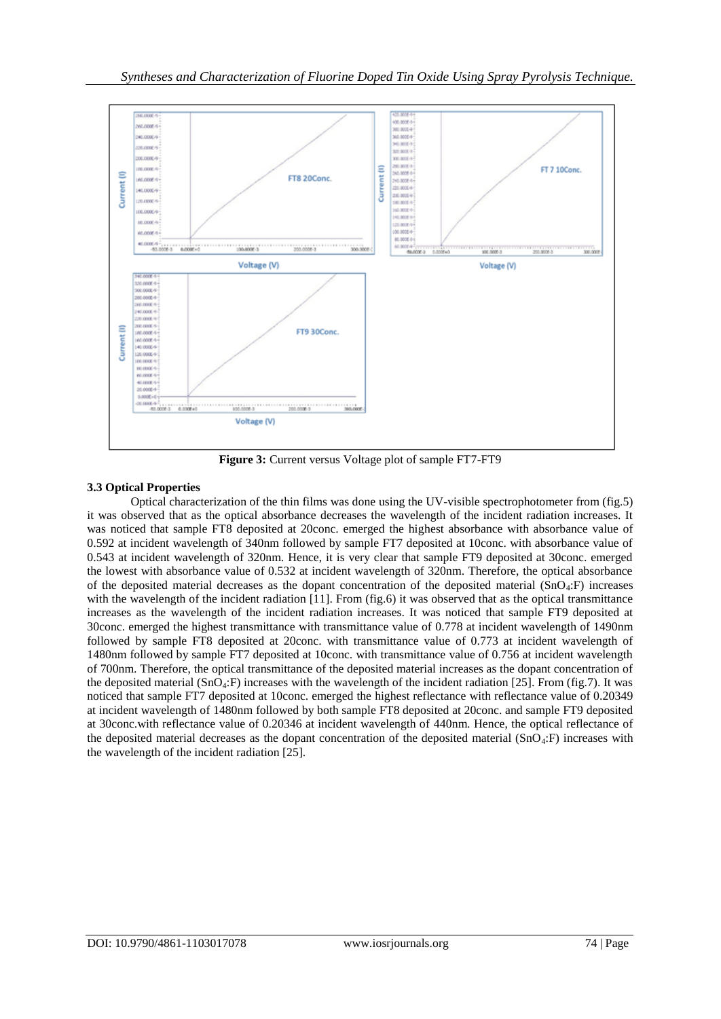

**Figure 3:** Current versus Voltage plot of sample FT7-FT9

# **3.3 Optical Properties**

Optical characterization of the thin films was done using the UV-visible spectrophotometer from (fig.5) it was observed that as the optical absorbance decreases the wavelength of the incident radiation increases. It was noticed that sample FT8 deposited at 20conc. emerged the highest absorbance with absorbance value of 0.592 at incident wavelength of 340nm followed by sample FT7 deposited at 10conc. with absorbance value of 0.543 at incident wavelength of 320nm. Hence, it is very clear that sample FT9 deposited at 30conc. emerged the lowest with absorbance value of 0.532 at incident wavelength of 320nm. Therefore, the optical absorbance of the deposited material decreases as the dopant concentration of the deposited material  $(SnO<sub>4</sub>:F)$  increases with the wavelength of the incident radiation [11]. From (fig.6) it was observed that as the optical transmittance increases as the wavelength of the incident radiation increases. It was noticed that sample FT9 deposited at 30conc. emerged the highest transmittance with transmittance value of 0.778 at incident wavelength of 1490nm followed by sample FT8 deposited at 20conc. with transmittance value of 0.773 at incident wavelength of 1480nm followed by sample FT7 deposited at 10conc. with transmittance value of 0.756 at incident wavelength of 700nm. Therefore, the optical transmittance of the deposited material increases as the dopant concentration of the deposited material  $(SnO<sub>4</sub>:F)$  increases with the wavelength of the incident radiation [25]. From (fig.7). It was noticed that sample FT7 deposited at 10conc. emerged the highest reflectance with reflectance value of 0.20349 at incident wavelength of 1480nm followed by both sample FT8 deposited at 20conc. and sample FT9 deposited at 30conc.with reflectance value of 0.20346 at incident wavelength of 440nm. Hence, the optical reflectance of the deposited material decreases as the dopant concentration of the deposited material  $(SnO<sub>4</sub>:F)$  increases with the wavelength of the incident radiation [25].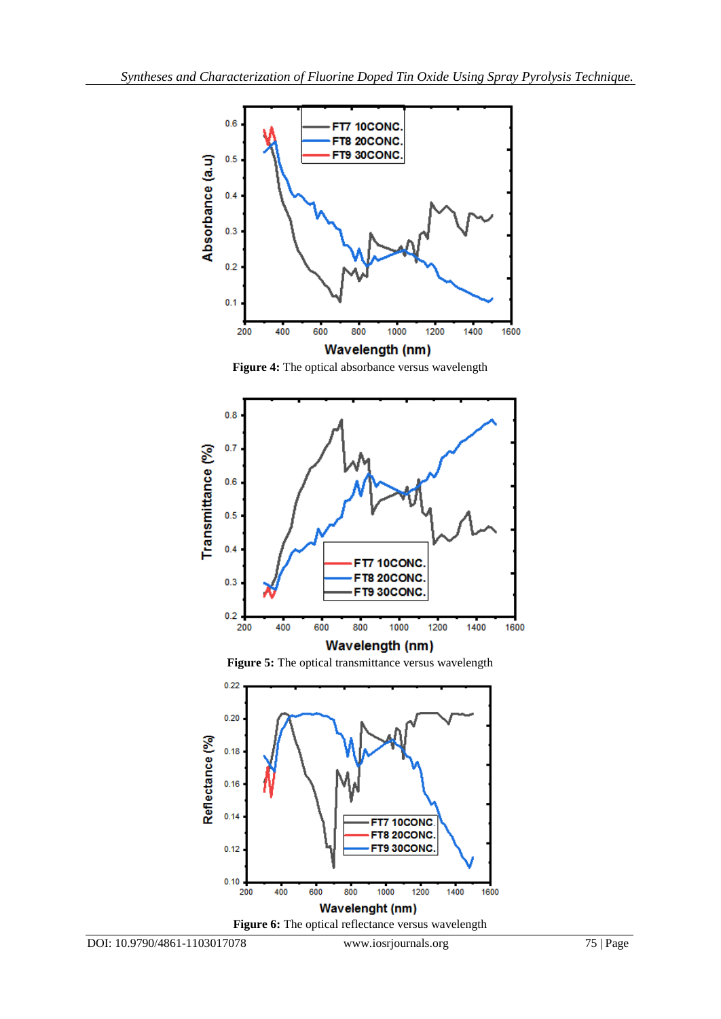

**Figure 4:** The optical absorbance versus wavelength



Figure 5: The optical transmittance versus wavelength

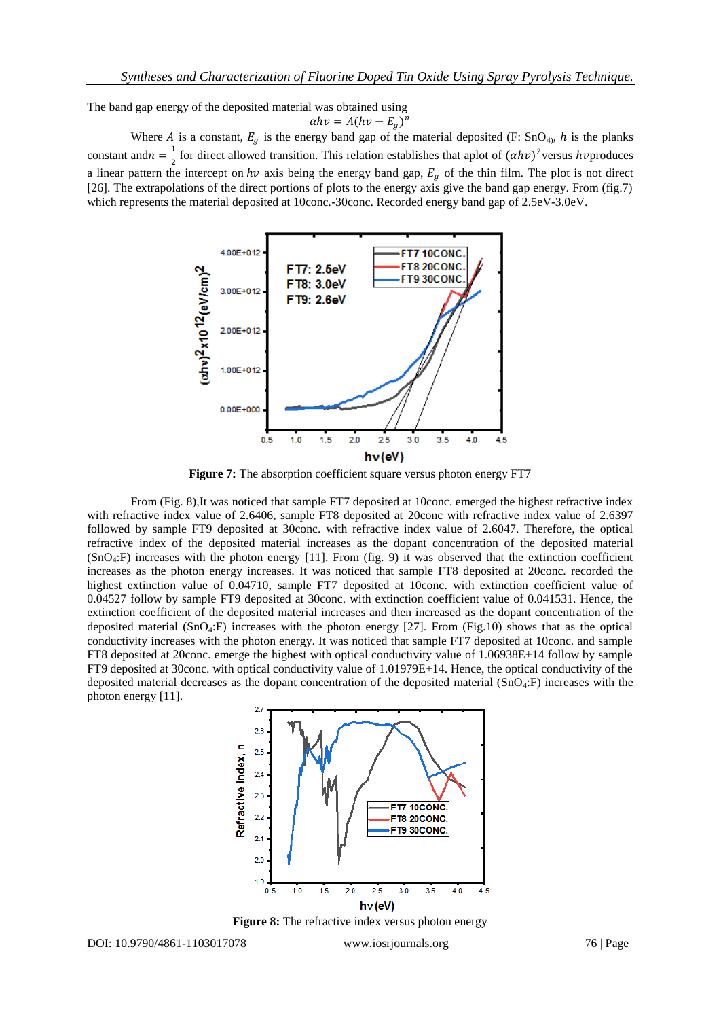The band gap energy of the deposited material was obtained using  $\alpha h v = A (h v - E_g)^n$ 

Where A is a constant,  $E<sub>g</sub>$  is the energy band gap of the material deposited (F: SnO<sub>4)</sub>, h is the planks constant and  $n = \frac{1}{2}$  $\frac{1}{2}$  for direct allowed transition. This relation establishes that aplot of  $(\alpha h v)^2$  versus *hv* produces a linear pattern the intercept on  $hv$  axis being the energy band gap,  $E<sub>g</sub>$  of the thin film. The plot is not direct [26]. The extrapolations of the direct portions of plots to the energy axis give the band gap energy. From (fig.7) which represents the material deposited at 10conc.-30conc. Recorded energy band gap of 2.5eV-3.0eV.



**Figure 7:** The absorption coefficient square versus photon energy FT7

From (Fig. 8),It was noticed that sample FT7 deposited at 10conc. emerged the highest refractive index with refractive index value of 2.6406, sample FT8 deposited at 20 conc with refractive index value of 2.6397 followed by sample FT9 deposited at 30conc. with refractive index value of 2.6047. Therefore, the optical refractive index of the deposited material increases as the dopant concentration of the deposited material (SnO4:F) increases with the photon energy [11]. From (fig. 9) it was observed that the extinction coefficient increases as the photon energy increases. It was noticed that sample FT8 deposited at 20conc. recorded the highest extinction value of 0.04710, sample FT7 deposited at 10conc. with extinction coefficient value of 0.04527 follow by sample FT9 deposited at 30conc. with extinction coefficient value of 0.041531. Hence, the extinction coefficient of the deposited material increases and then increased as the dopant concentration of the deposited material  $(SnO_4: F)$  increases with the photon energy [27]. From (Fig.10) shows that as the optical conductivity increases with the photon energy. It was noticed that sample FT7 deposited at 10conc. and sample FT8 deposited at 20conc. emerge the highest with optical conductivity value of 1.06938E+14 follow by sample FT9 deposited at 30conc. with optical conductivity value of 1.01979E+14. Hence, the optical conductivity of the deposited material decreases as the dopant concentration of the deposited material (SnO4:F) increases with the photon energy [11].



**Figure 8:** The refractive index versus photon energy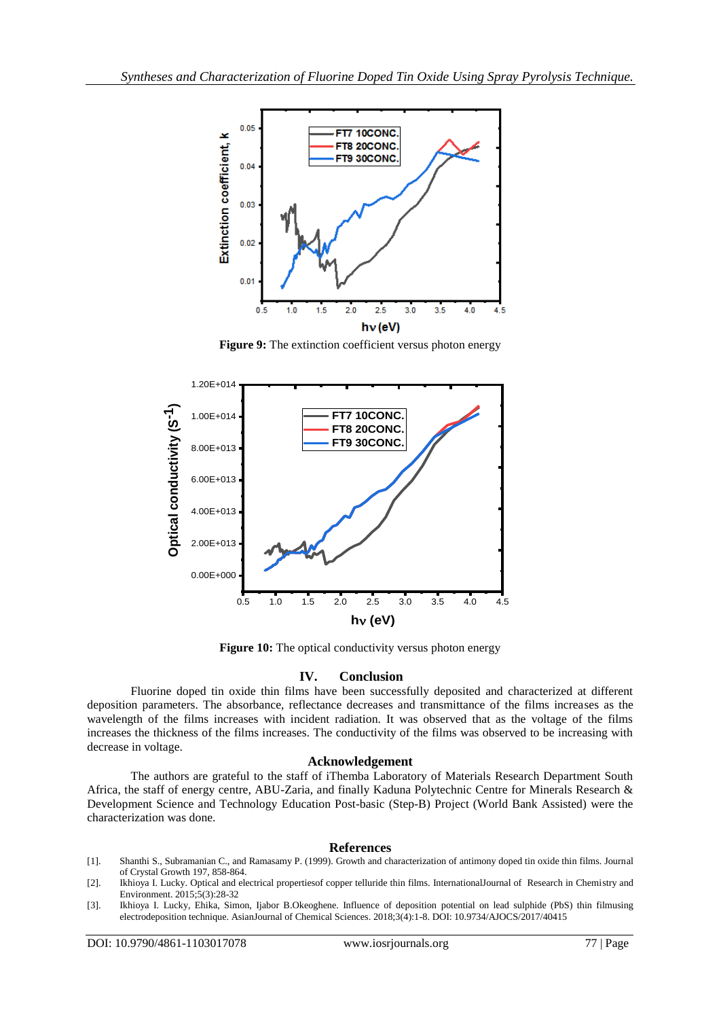

**Figure 9:** The extinction coefficient versus photon energy



**Figure 10:** The optical conductivity versus photon energy

#### **IV. Conclusion**

Fluorine doped tin oxide thin films have been successfully deposited and characterized at different deposition parameters. The absorbance, reflectance decreases and transmittance of the films increases as the wavelength of the films increases with incident radiation. It was observed that as the voltage of the films increases the thickness of the films increases. The conductivity of the films was observed to be increasing with decrease in voltage.

#### **Acknowledgement**

The authors are grateful to the staff of iThemba Laboratory of Materials Research Department South Africa, the staff of energy centre, ABU-Zaria, and finally Kaduna Polytechnic Centre for Minerals Research & Development Science and Technology Education Post-basic (Step-B) Project (World Bank Assisted) were the characterization was done.

#### **References**

- [1]. Shanthi S., Subramanian C., and Ramasamy P. (1999). Growth and characterization of antimony doped tin oxide thin films. Journal of Crystal Growth 197, 858-864.
- [2]. Ikhioya I. Lucky. Optical and electrical propertiesof copper telluride thin films. InternationalJournal of Research in Chemistry and Environment. 2015;5(3):28-32
- [3]. Ikhioya I. Lucky, Ehika, Simon, Ijabor B.Okeoghene. Influence of deposition potential on lead sulphide (PbS) thin filmusing electrodeposition technique. AsianJournal of Chemical Sciences. 2018;3(4):1-8. DOI: 10.9734/AJOCS/2017/40415